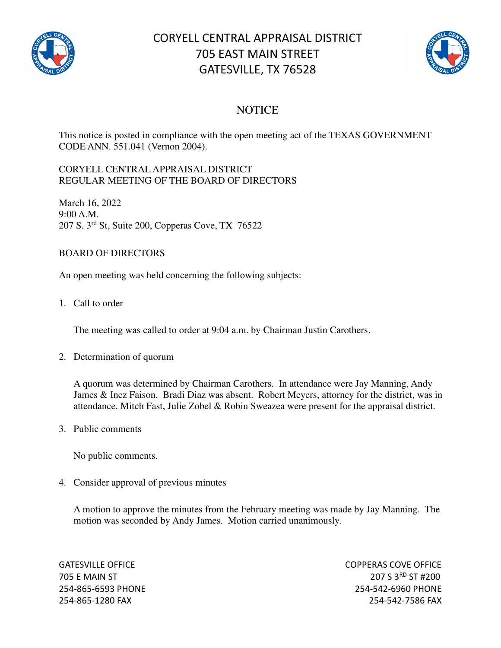

# CORYELL CENTRAL APPRAISAL DISTRICT 705 EAST MAIN STREET GATESVILLE, TX 76528



### **NOTICE**

This notice is posted in compliance with the open meeting act of the TEXAS GOVERNMENT CODE ANN. 551.041 (Vernon 2004).

#### CORYELL CENTRAL APPRAISAL DISTRICT REGULAR MEETING OF THE BOARD OF DIRECTORS

March 16, 2022 9:00 A.M. 207 S. 3rd St, Suite 200, Copperas Cove, TX 76522

#### BOARD OF DIRECTORS

An open meeting was held concerning the following subjects:

1. Call to order

The meeting was called to order at 9:04 a.m. by Chairman Justin Carothers.

2. Determination of quorum

A quorum was determined by Chairman Carothers. In attendance were Jay Manning, Andy James & Inez Faison. Bradi Diaz was absent. Robert Meyers, attorney for the district, was in attendance. Mitch Fast, Julie Zobel & Robin Sweazea were present for the appraisal district.

3. Public comments

No public comments.

4. Consider approval of previous minutes

A motion to approve the minutes from the February meeting was made by Jay Manning. The motion was seconded by Andy James. Motion carried unanimously.

GATESVILLE OFFICE **COPPERAS COVE OF EXAMPLE 2** 705 E MAIN ST 207 S 3<sup>RD</sup> ST #200 254-865-6593 PHONE 254-542-6960 PHONE 254-865-1280 FAX 254-542-7586 FAX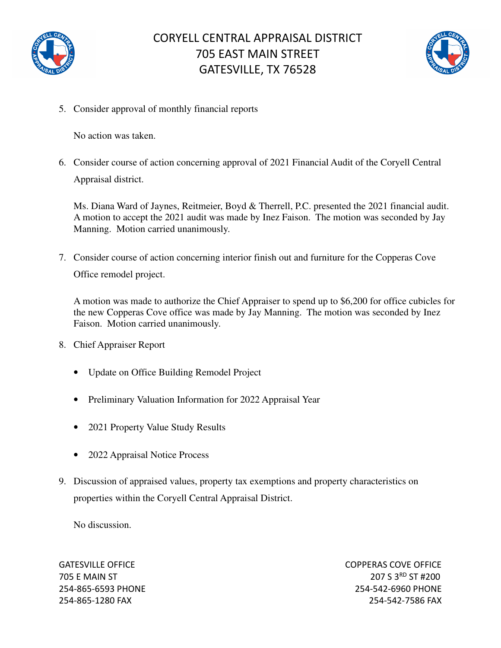



5. Consider approval of monthly financial reports

No action was taken.

6. Consider course of action concerning approval of 2021 Financial Audit of the Coryell Central Appraisal district.

Ms. Diana Ward of Jaynes, Reitmeier, Boyd & Therrell, P.C. presented the 2021 financial audit. A motion to accept the 2021 audit was made by Inez Faison. The motion was seconded by Jay Manning. Motion carried unanimously.

7. Consider course of action concerning interior finish out and furniture for the Copperas Cove Office remodel project.

A motion was made to authorize the Chief Appraiser to spend up to \$6,200 for office cubicles for the new Copperas Cove office was made by Jay Manning. The motion was seconded by Inez Faison. Motion carried unanimously.

- 8. Chief Appraiser Report
	- Update on Office Building Remodel Project
	- Preliminary Valuation Information for 2022 Appraisal Year
	- 2021 Property Value Study Results
	- 2022 Appraisal Notice Process
- 9. Discussion of appraised values, property tax exemptions and property characteristics on properties within the Coryell Central Appraisal District.

No discussion.

GATESVILLE OFFICE **COPPERAS COVE OF EXAMPLE 2** 705 E MAIN ST 207 S 3RD ST #200 254-865-6593 PHONE 254-542-6960 PHONE 254-865-1280 FAX 254-542-7586 FAX